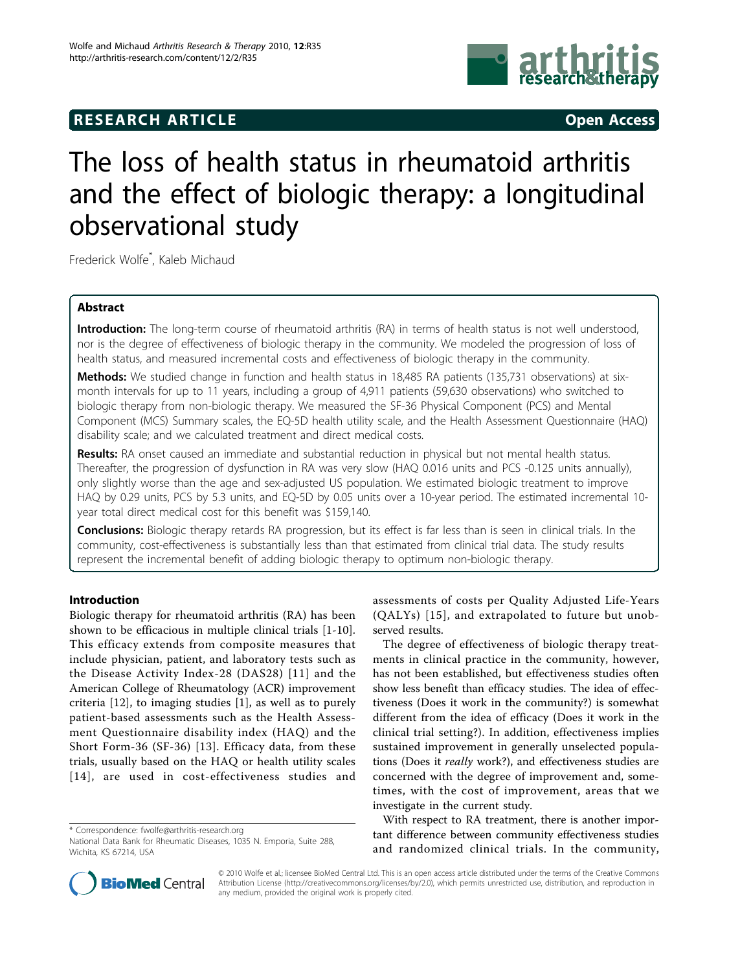## **RESEARCH ARTICLE Example 2014 CONSIDERING CONSIDERING CONSIDERING CONSIDERING CONSIDERING CONSIDERING CONSIDERING CONSIDERING CONSIDERING CONSIDERING CONSIDERING CONSIDERING CONSIDERING CONSIDERING CONSIDERING CONSIDE**



# The loss of health status in rheumatoid arthritis and the effect of biologic therapy: a longitudinal observational study

Frederick Wolfe\* , Kaleb Michaud

## Abstract

Introduction: The long-term course of rheumatoid arthritis (RA) in terms of health status is not well understood, nor is the degree of effectiveness of biologic therapy in the community. We modeled the progression of loss of health status, and measured incremental costs and effectiveness of biologic therapy in the community.

Methods: We studied change in function and health status in 18,485 RA patients (135,731 observations) at sixmonth intervals for up to 11 years, including a group of 4,911 patients (59,630 observations) who switched to biologic therapy from non-biologic therapy. We measured the SF-36 Physical Component (PCS) and Mental Component (MCS) Summary scales, the EQ-5D health utility scale, and the Health Assessment Questionnaire (HAQ) disability scale; and we calculated treatment and direct medical costs.

Results: RA onset caused an immediate and substantial reduction in physical but not mental health status. Thereafter, the progression of dysfunction in RA was very slow (HAQ 0.016 units and PCS -0.125 units annually), only slightly worse than the age and sex-adjusted US population. We estimated biologic treatment to improve HAQ by 0.29 units, PCS by 5.3 units, and EQ-5D by 0.05 units over a 10-year period. The estimated incremental 10 year total direct medical cost for this benefit was \$159,140.

Conclusions: Biologic therapy retards RA progression, but its effect is far less than is seen in clinical trials. In the community, cost-effectiveness is substantially less than that estimated from clinical trial data. The study results represent the incremental benefit of adding biologic therapy to optimum non-biologic therapy.

## Introduction

Biologic therapy for rheumatoid arthritis (RA) has been shown to be efficacious in multiple clinical trials [[1-10](#page-10-0)]. This efficacy extends from composite measures that include physician, patient, and laboratory tests such as the Disease Activity Index-28 (DAS28) [[11\]](#page-10-0) and the American College of Rheumatology (ACR) improvement criteria [[12\]](#page-10-0), to imaging studies [\[1](#page-10-0)], as well as to purely patient-based assessments such as the Health Assessment Questionnaire disability index (HAQ) and the Short Form-36 (SF-36) [[13\]](#page-10-0). Efficacy data, from these trials, usually based on the HAQ or health utility scales [[14](#page-11-0)], are used in cost-effectiveness studies and

assessments of costs per Quality Adjusted Life-Years (QALYs) [[15\]](#page-11-0), and extrapolated to future but unobserved results.

The degree of effectiveness of biologic therapy treatments in clinical practice in the community, however, has not been established, but effectiveness studies often show less benefit than efficacy studies. The idea of effectiveness (Does it work in the community?) is somewhat different from the idea of efficacy (Does it work in the clinical trial setting?). In addition, effectiveness implies sustained improvement in generally unselected populations (Does it really work?), and effectiveness studies are concerned with the degree of improvement and, sometimes, with the cost of improvement, areas that we investigate in the current study.

With respect to RA treatment, there is another important difference between community effectiveness studies and randomized clinical trials. In the community,



© 2010 Wolfe et al.; licensee BioMed Central Ltd. This is an open access article distributed under the terms of the Creative Commons Attribution License [\(http://creativecommons.org/licenses/by/2.0](http://creativecommons.org/licenses/by/2.0)), which permits unrestricted use, distribution, and reproduction in any medium, provided the original work is properly cited.

<sup>\*</sup> Correspondence: [fwolfe@arthritis-research.org](mailto:fwolfe@arthritis-research.org)

National Data Bank for Rheumatic Diseases, 1035 N. Emporia, Suite 288, Wichita, KS 67214, USA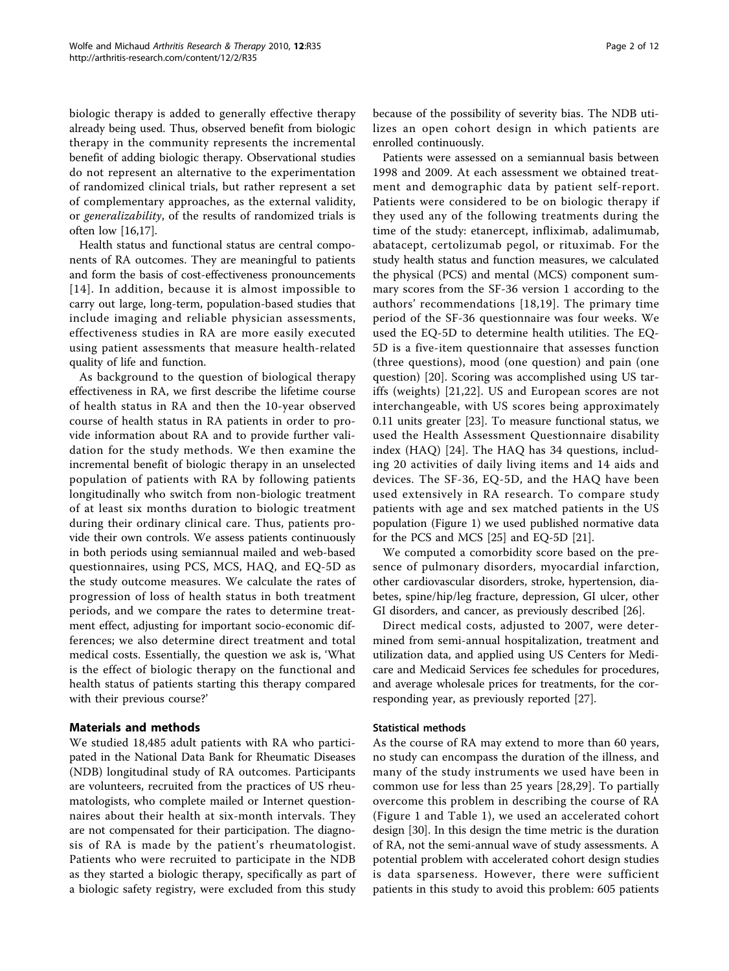biologic therapy is added to generally effective therapy already being used. Thus, observed benefit from biologic therapy in the community represents the incremental benefit of adding biologic therapy. Observational studies do not represent an alternative to the experimentation of randomized clinical trials, but rather represent a set of complementary approaches, as the external validity, or generalizability, of the results of randomized trials is often low [[16](#page-11-0),[17](#page-11-0)].

Health status and functional status are central components of RA outcomes. They are meaningful to patients and form the basis of cost-effectiveness pronouncements [[14\]](#page-11-0). In addition, because it is almost impossible to carry out large, long-term, population-based studies that include imaging and reliable physician assessments, effectiveness studies in RA are more easily executed using patient assessments that measure health-related quality of life and function.

As background to the question of biological therapy effectiveness in RA, we first describe the lifetime course of health status in RA and then the 10-year observed course of health status in RA patients in order to provide information about RA and to provide further validation for the study methods. We then examine the incremental benefit of biologic therapy in an unselected population of patients with RA by following patients longitudinally who switch from non-biologic treatment of at least six months duration to biologic treatment during their ordinary clinical care. Thus, patients provide their own controls. We assess patients continuously in both periods using semiannual mailed and web-based questionnaires, using PCS, MCS, HAQ, and EQ-5D as the study outcome measures. We calculate the rates of progression of loss of health status in both treatment periods, and we compare the rates to determine treatment effect, adjusting for important socio-economic differences; we also determine direct treatment and total medical costs. Essentially, the question we ask is, 'What is the effect of biologic therapy on the functional and health status of patients starting this therapy compared with their previous course?'

## Materials and methods

We studied 18,485 adult patients with RA who participated in the National Data Bank for Rheumatic Diseases (NDB) longitudinal study of RA outcomes. Participants are volunteers, recruited from the practices of US rheumatologists, who complete mailed or Internet questionnaires about their health at six-month intervals. They are not compensated for their participation. The diagnosis of RA is made by the patient's rheumatologist. Patients who were recruited to participate in the NDB as they started a biologic therapy, specifically as part of a biologic safety registry, were excluded from this study because of the possibility of severity bias. The NDB uti-

lizes an open cohort design in which patients are

enrolled continuously. Patients were assessed on a semiannual basis between 1998 and 2009. At each assessment we obtained treatment and demographic data by patient self-report. Patients were considered to be on biologic therapy if they used any of the following treatments during the time of the study: etanercept, infliximab, adalimumab, abatacept, certolizumab pegol, or rituximab. For the study health status and function measures, we calculated the physical (PCS) and mental (MCS) component summary scores from the SF-36 version 1 according to the authors' recommendations [[18,19](#page-11-0)]. The primary time period of the SF-36 questionnaire was four weeks. We used the EQ-5D to determine health utilities. The EQ-5D is a five-item questionnaire that assesses function (three questions), mood (one question) and pain (one question) [\[20](#page-11-0)]. Scoring was accomplished using US tariffs (weights) [[21,22\]](#page-11-0). US and European scores are not interchangeable, with US scores being approximately 0.11 units greater [\[23\]](#page-11-0). To measure functional status, we used the Health Assessment Questionnaire disability index (HAQ) [[24](#page-11-0)]. The HAQ has 34 questions, including 20 activities of daily living items and 14 aids and devices. The SF-36, EQ-5D, and the HAQ have been used extensively in RA research. To compare study patients with age and sex matched patients in the US population (Figure [1\)](#page-2-0) we used published normative data for the PCS and MCS [\[25\]](#page-11-0) and EQ-5D [[21](#page-11-0)].

We computed a comorbidity score based on the presence of pulmonary disorders, myocardial infarction, other cardiovascular disorders, stroke, hypertension, diabetes, spine/hip/leg fracture, depression, GI ulcer, other GI disorders, and cancer, as previously described [\[26\]](#page-11-0).

Direct medical costs, adjusted to 2007, were determined from semi-annual hospitalization, treatment and utilization data, and applied using US Centers for Medicare and Medicaid Services fee schedules for procedures, and average wholesale prices for treatments, for the corresponding year, as previously reported [\[27](#page-11-0)].

## Statistical methods

As the course of RA may extend to more than 60 years, no study can encompass the duration of the illness, and many of the study instruments we used have been in common use for less than 25 years [[28](#page-11-0),[29\]](#page-11-0). To partially overcome this problem in describing the course of RA (Figure [1](#page-2-0) and Table [1\)](#page-2-0), we used an accelerated cohort design [[30\]](#page-11-0). In this design the time metric is the duration of RA, not the semi-annual wave of study assessments. A potential problem with accelerated cohort design studies is data sparseness. However, there were sufficient patients in this study to avoid this problem: 605 patients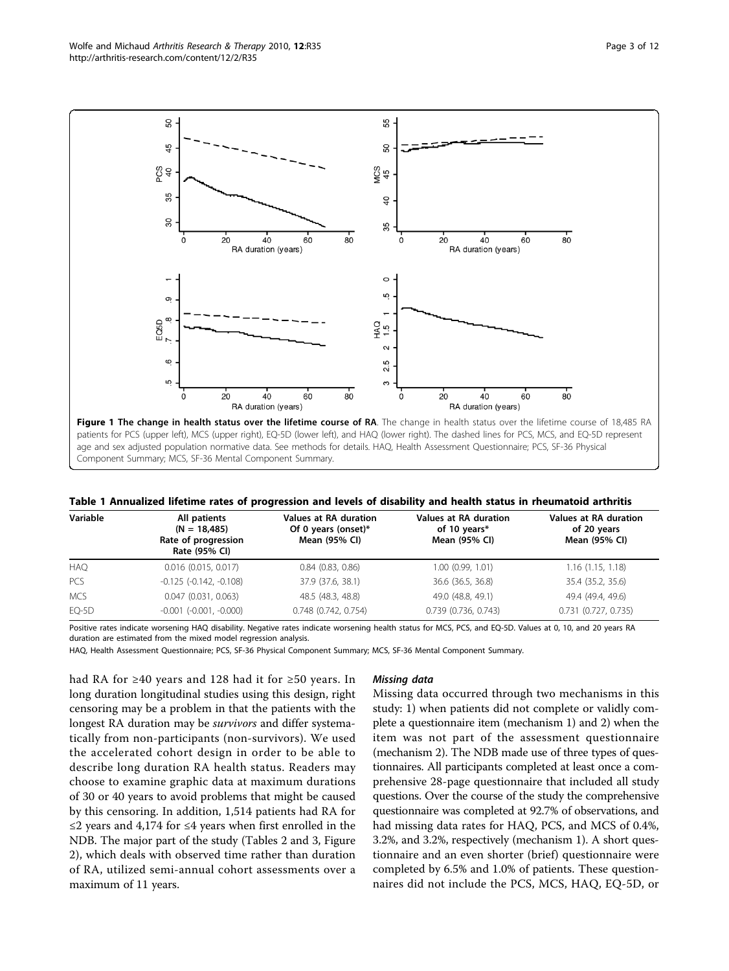<span id="page-2-0"></span>

Component Summary; MCS, SF-36 Mental Component Summary.

|  |  |  |  |  |  |  | Table 1 Annualized lifetime rates of progression and levels of disability and health status in rheumatoid arthritis |
|--|--|--|--|--|--|--|---------------------------------------------------------------------------------------------------------------------|
|--|--|--|--|--|--|--|---------------------------------------------------------------------------------------------------------------------|

| All patients<br>$(N = 18,485)$<br>Rate of progression<br>Rate (95% CI) | Values at RA duration<br>Of 0 years (onset)*<br>Mean (95% CI) | Values at RA duration<br>of 10 years*<br>Mean (95% CI) | Values at RA duration<br>of 20 years<br>Mean (95% CI) |
|------------------------------------------------------------------------|---------------------------------------------------------------|--------------------------------------------------------|-------------------------------------------------------|
| $0.016$ (0.015, 0.017)                                                 | $0.84$ $(0.83, 0.86)$                                         | 1.00 (0.99, 1.01)                                      | 1.16(1.15, 1.18)                                      |
| $-0.125$ $(-0.142, -0.108)$                                            | 37.9 (37.6, 38.1)                                             | 36.6 (36.5, 36.8)                                      | 35.4 (35.2, 35.6)                                     |
| $0.047$ $(0.031, 0.063)$                                               | 48.5 (48.3, 48.8)                                             | 49.0 (48.8, 49.1)                                      | 49.4 (49.4, 49.6)                                     |
| $-0.001$ $(-0.001, -0.000)$                                            | 0.748 (0.742, 0.754)                                          | 0.739 (0.736, 0.743)                                   | $0.731$ $(0.727, 0.735)$                              |
|                                                                        |                                                               |                                                        |                                                       |

Positive rates indicate worsening HAQ disability. Negative rates indicate worsening health status for MCS, PCS, and EQ-5D. Values at 0, 10, and 20 years RA duration are estimated from the mixed model regression analysis.

HAQ, Health Assessment Questionnaire; PCS, SF-36 Physical Component Summary; MCS, SF-36 Mental Component Summary.

had RA for ≥40 years and 128 had it for ≥50 years. In long duration longitudinal studies using this design, right censoring may be a problem in that the patients with the longest RA duration may be *survivors* and differ systematically from non-participants (non-survivors). We used the accelerated cohort design in order to be able to describe long duration RA health status. Readers may choose to examine graphic data at maximum durations of 30 or 40 years to avoid problems that might be caused by this censoring. In addition, 1,514 patients had RA for ≤2 years and 4,174 for ≤4 years when first enrolled in the NDB. The major part of the study (Tables [2](#page-3-0) and [3](#page-3-0), Figure [2\)](#page-4-0), which deals with observed time rather than duration of RA, utilized semi-annual cohort assessments over a maximum of 11 years.

#### Missing data

Missing data occurred through two mechanisms in this study: 1) when patients did not complete or validly complete a questionnaire item (mechanism 1) and 2) when the item was not part of the assessment questionnaire (mechanism 2). The NDB made use of three types of questionnaires. All participants completed at least once a comprehensive 28-page questionnaire that included all study questions. Over the course of the study the comprehensive questionnaire was completed at 92.7% of observations, and had missing data rates for HAQ, PCS, and MCS of 0.4%, 3.2%, and 3.2%, respectively (mechanism 1). A short questionnaire and an even shorter (brief) questionnaire were completed by 6.5% and 1.0% of patients. These questionnaires did not include the PCS, MCS, HAQ, EQ-5D, or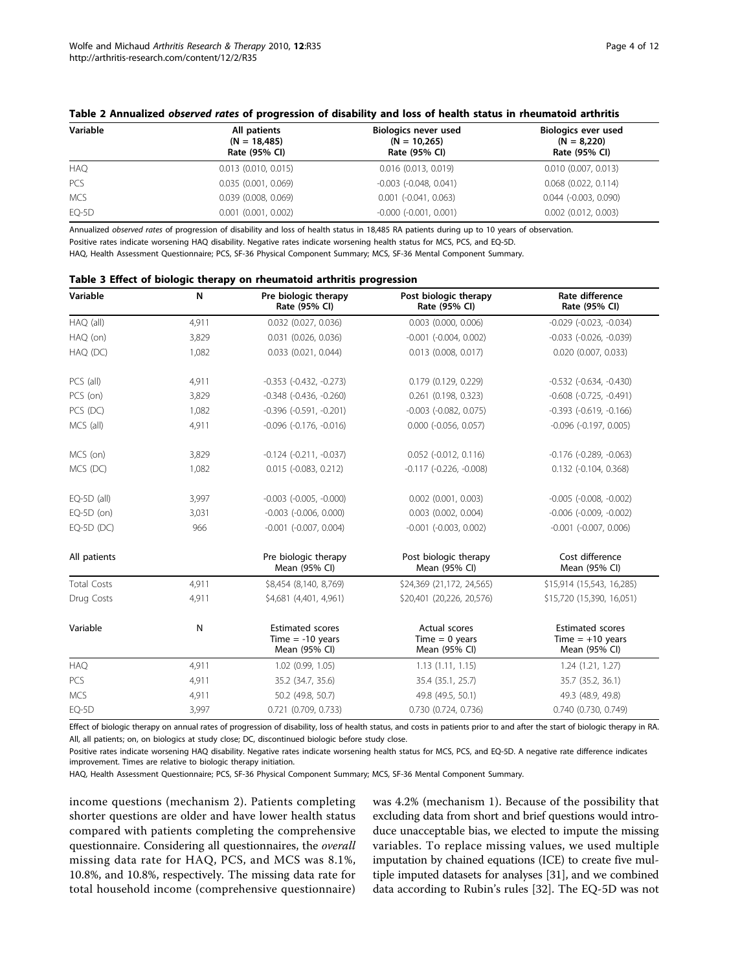| Variable   | All patients<br>$(N = 18,485)$<br>Rate (95% CI) | <b>Biologics never used</b><br>$(N = 10,265)$<br>Rate (95% CI) | <b>Biologics ever used</b><br>$(N = 8,220)$<br>Rate (95% CI) |
|------------|-------------------------------------------------|----------------------------------------------------------------|--------------------------------------------------------------|
| <b>HAQ</b> | $0.013$ $(0.010, 0.015)$                        | $0.016$ (0.013, 0.019)                                         | 0.010(0.007, 0.013)                                          |
| PCS        | 0.035(0.001, 0.069)                             | $-0.003$ $(-0.048, 0.041)$                                     | $0.068$ $(0.022, 0.114)$                                     |
| <b>MCS</b> | $0.039$ (0.008, 0.069)                          | $0.001$ ( $-0.041$ , $0.063$ )                                 | $0.044$ ( $-0.003$ , $0.090$ )                               |
| EQ-5D      | $0.001$ $(0.001, 0.002)$                        | $-0.000$ $(-0.001, 0.001)$                                     | $0.002$ $(0.012, 0.003)$                                     |

#### <span id="page-3-0"></span>Table 2 Annualized observed rates of progression of disability and loss of health status in rheumatoid arthritis

Annualized observed rates of progression of disability and loss of health status in 18,485 RA patients during up to 10 years of observation. Positive rates indicate worsening HAQ disability. Negative rates indicate worsening health status for MCS, PCS, and EQ-5D. HAQ, Health Assessment Questionnaire; PCS, SF-36 Physical Component Summary; MCS, SF-36 Mental Component Summary.

|  | Table 3 Effect of biologic therapy on rheumatoid arthritis progression |  |  |  |
|--|------------------------------------------------------------------------|--|--|--|
|--|------------------------------------------------------------------------|--|--|--|

| Variable           | N     | Pre biologic therapy<br>Rate (95% CI)                          | Post biologic therapy<br>Rate (95% CI)             | <b>Rate difference</b><br>Rate (95% CI)                        |  |
|--------------------|-------|----------------------------------------------------------------|----------------------------------------------------|----------------------------------------------------------------|--|
| HAQ (all)          | 4,911 | 0.032 (0.027, 0.036)                                           | $0.003$ (0.000, 0.006)                             | $-0.029$ $(-0.023, -0.034)$                                    |  |
| HAQ (on)           | 3,829 | $0.031$ (0.026, 0.036)                                         | $-0.001$ $(-0.004, 0.002)$                         | $-0.033$ $(-0.026, -0.039)$                                    |  |
| HAQ (DC)           | 1,082 | 0.033 (0.021, 0.044)                                           | 0.013 (0.008, 0.017)                               | 0.020 (0.007, 0.033)                                           |  |
| PCS (all)          | 4,911 | $-0.353$ $(-0.432, -0.273)$                                    | 0.179 (0.129, 0.229)                               | $-0.532$ $(-0.634, -0.430)$                                    |  |
| PCS (on)           | 3,829 | $-0.348$ $(-0.436, -0.260)$                                    | $0.261$ (0.198, 0.323)                             | $-0.608$ $(-0.725, -0.491)$                                    |  |
| PCS (DC)           | 1,082 | $-0.396$ $(-0.591, -0.201)$                                    | $-0.003$ $(-0.082, 0.075)$                         | $-0.393$ $(-0.619, -0.166)$                                    |  |
| MCS (all)          | 4,911 | $-0.096$ $(-0.176, -0.016)$                                    | $0.000$ (-0.056, 0.057)                            | $-0.096$ $(-0.197, 0.005)$                                     |  |
| MCS (on)           | 3,829 | $-0.124$ $(-0.211, -0.037)$                                    | $0.052$ (-0.012, 0.116)                            | $-0.176$ $(-0.289, -0.063)$                                    |  |
| MCS (DC)           | 1,082 | $0.015$ (-0.083, 0.212)                                        | $-0.117$ $(-0.226, -0.008)$                        | $0.132$ (-0.104, 0.368)                                        |  |
| $EQ-5D$ (all)      | 3,997 | $-0.003$ $(-0.005, -0.000)$                                    | $0.002$ (0.001, 0.003)                             | $-0.005$ $(-0.008, -0.002)$                                    |  |
| $EQ-5D$ (on)       | 3,031 | $-0.003$ $(-0.006, 0.000)$                                     | $0.003$ (0.002, 0.004)                             | $-0.006$ $(-0.009, -0.002)$                                    |  |
| $EQ-5D$ (DC)       | 966   | $-0.001$ $(-0.007, 0.004)$                                     | $-0.001$ $(-0.003, 0.002)$                         | $-0.001$ $(-0.007, 0.006)$                                     |  |
| All patients       |       | Pre biologic therapy<br>Mean (95% CI)                          | Post biologic therapy<br>Mean (95% CI)             | Cost difference<br>Mean (95% CI)                               |  |
| <b>Total Costs</b> | 4,911 | \$8,454 (8,140, 8,769)                                         | \$24,369 (21,172, 24,565)                          | \$15,914 (15,543, 16,285)                                      |  |
| Drug Costs         | 4,911 | \$4,681 (4,401, 4,961)                                         | \$20,401 (20,226, 20,576)                          | \$15,720 (15,390, 16,051)                                      |  |
| Variable           | N     | <b>Estimated scores</b><br>Time $= -10$ years<br>Mean (95% CI) | Actual scores<br>Time $= 0$ years<br>Mean (95% CI) | <b>Estimated scores</b><br>Time $= +10$ years<br>Mean (95% CI) |  |
| <b>HAQ</b>         | 4,911 | 1.02 (0.99, 1.05)                                              | 1.13(1.11, 1.15)                                   | 1.24(1.21, 1.27)                                               |  |
| PCS                | 4,911 | 35.2 (34.7, 35.6)                                              | 35.4 (35.1, 25.7)                                  | 35.7 (35.2, 36.1)                                              |  |
| <b>MCS</b>         | 4,911 | 50.2 (49.8, 50.7)                                              | 49.8 (49.5, 50.1)                                  | 49.3 (48.9, 49.8)                                              |  |
| EQ-5D              | 3,997 | 0.721 (0.709, 0.733)                                           | 0.730 (0.724, 0.736)                               | 0.740 (0.730, 0.749)                                           |  |

Effect of biologic therapy on annual rates of progression of disability, loss of health status, and costs in patients prior to and after the start of biologic therapy in RA. All, all patients; on, on biologics at study close; DC, discontinued biologic before study close.

Positive rates indicate worsening HAQ disability. Negative rates indicate worsening health status for MCS, PCS, and EQ-5D. A negative rate difference indicates improvement. Times are relative to biologic therapy initiation.

HAQ, Health Assessment Questionnaire; PCS, SF-36 Physical Component Summary; MCS, SF-36 Mental Component Summary.

income questions (mechanism 2). Patients completing shorter questions are older and have lower health status compared with patients completing the comprehensive questionnaire. Considering all questionnaires, the overall missing data rate for HAQ, PCS, and MCS was 8.1%, 10.8%, and 10.8%, respectively. The missing data rate for total household income (comprehensive questionnaire) was 4.2% (mechanism 1). Because of the possibility that excluding data from short and brief questions would introduce unacceptable bias, we elected to impute the missing variables. To replace missing values, we used multiple imputation by chained equations (ICE) to create five multiple imputed datasets for analyses [\[31](#page-11-0)], and we combined data according to Rubin's rules [[32\]](#page-11-0). The EQ-5D was not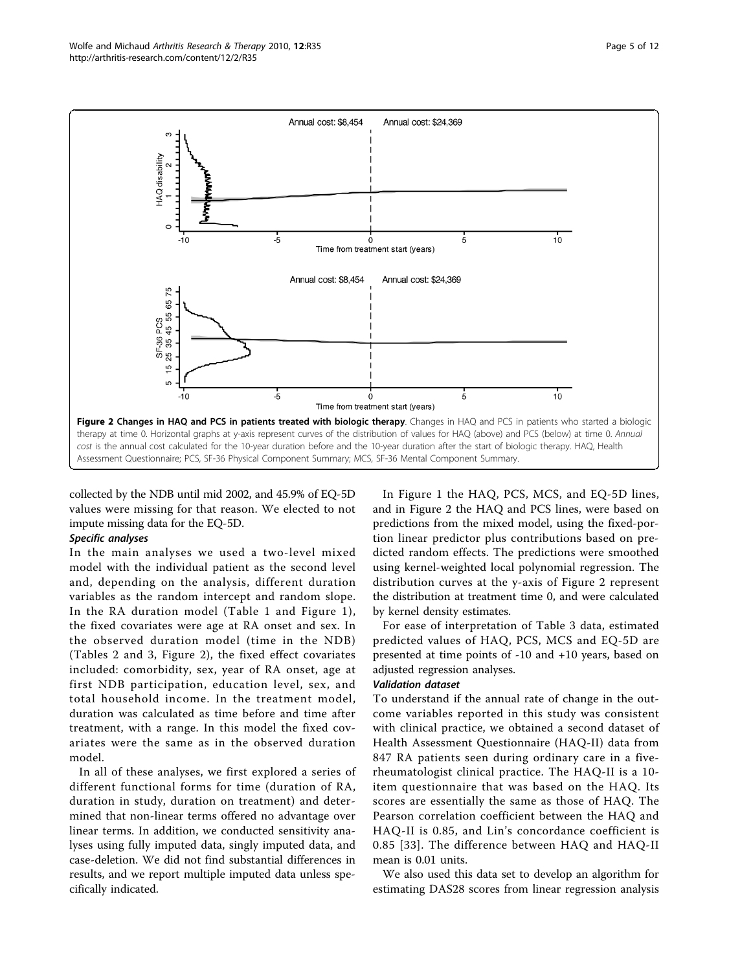<span id="page-4-0"></span>

collected by the NDB until mid 2002, and 45.9% of EQ-5D values were missing for that reason. We elected to not impute missing data for the EQ-5D.

#### Specific analyses

In the main analyses we used a two-level mixed model with the individual patient as the second level and, depending on the analysis, different duration variables as the random intercept and random slope. In the RA duration model (Table [1](#page-2-0) and Figure [1\)](#page-2-0), the fixed covariates were age at RA onset and sex. In the observed duration model (time in the NDB) (Tables [2](#page-3-0) and [3](#page-3-0), Figure 2), the fixed effect covariates included: comorbidity, sex, year of RA onset, age at first NDB participation, education level, sex, and total household income. In the treatment model, duration was calculated as time before and time after treatment, with a range. In this model the fixed covariates were the same as in the observed duration model.

In all of these analyses, we first explored a series of different functional forms for time (duration of RA, duration in study, duration on treatment) and determined that non-linear terms offered no advantage over linear terms. In addition, we conducted sensitivity analyses using fully imputed data, singly imputed data, and case-deletion. We did not find substantial differences in results, and we report multiple imputed data unless specifically indicated.

In Figure [1](#page-2-0) the HAQ, PCS, MCS, and EQ-5D lines, and in Figure 2 the HAQ and PCS lines, were based on predictions from the mixed model, using the fixed-portion linear predictor plus contributions based on predicted random effects. The predictions were smoothed using kernel-weighted local polynomial regression. The distribution curves at the y-axis of Figure 2 represent the distribution at treatment time 0, and were calculated by kernel density estimates.

For ease of interpretation of Table [3](#page-3-0) data, estimated predicted values of HAQ, PCS, MCS and EQ-5D are presented at time points of -10 and +10 years, based on adjusted regression analyses.

#### Validation dataset

To understand if the annual rate of change in the outcome variables reported in this study was consistent with clinical practice, we obtained a second dataset of Health Assessment Questionnaire (HAQ-II) data from 847 RA patients seen during ordinary care in a fiverheumatologist clinical practice. The HAQ-II is a 10 item questionnaire that was based on the HAQ. Its scores are essentially the same as those of HAQ. The Pearson correlation coefficient between the HAQ and HAQ-II is 0.85, and Lin's concordance coefficient is 0.85 [[33\]](#page-11-0). The difference between HAQ and HAQ-II mean is 0.01 units.

We also used this data set to develop an algorithm for estimating DAS28 scores from linear regression analysis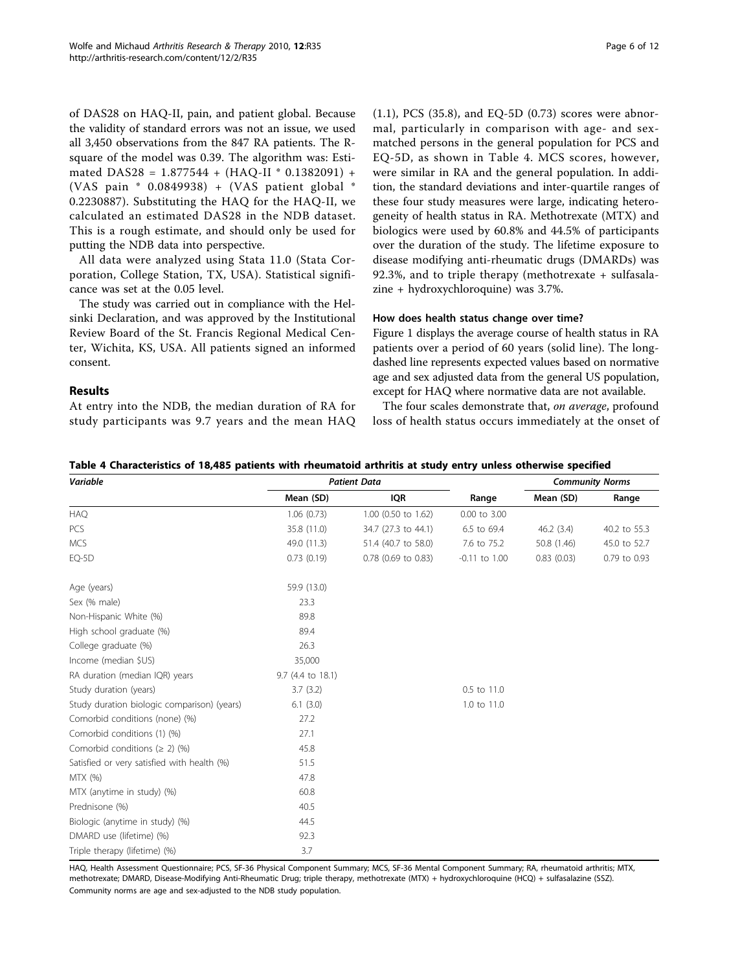<span id="page-5-0"></span>of DAS28 on HAQ-II, pain, and patient global. Because the validity of standard errors was not an issue, we used all 3,450 observations from the 847 RA patients. The Rsquare of the model was 0.39. The algorithm was: Estimated DAS28 = 1.877544 + (HAQ-II \* 0.1382091) + (VAS pain \* 0.0849938) + (VAS patient global \* 0.2230887). Substituting the HAQ for the HAQ-II, we calculated an estimated DAS28 in the NDB dataset. This is a rough estimate, and should only be used for putting the NDB data into perspective.

All data were analyzed using Stata 11.0 (Stata Corporation, College Station, TX, USA). Statistical significance was set at the 0.05 level.

The study was carried out in compliance with the Helsinki Declaration, and was approved by the Institutional Review Board of the St. Francis Regional Medical Center, Wichita, KS, USA. All patients signed an informed consent.

#### Results

At entry into the NDB, the median duration of RA for study participants was 9.7 years and the mean HAQ (1.1), PCS (35.8), and EQ-5D (0.73) scores were abnormal, particularly in comparison with age- and sexmatched persons in the general population for PCS and EQ-5D, as shown in Table 4. MCS scores, however, were similar in RA and the general population. In addition, the standard deviations and inter-quartile ranges of these four study measures were large, indicating heterogeneity of health status in RA. Methotrexate (MTX) and biologics were used by 60.8% and 44.5% of participants over the duration of the study. The lifetime exposure to disease modifying anti-rheumatic drugs (DMARDs) was 92.3%, and to triple therapy (methotrexate + sulfasalazine + hydroxychloroquine) was 3.7%.

#### How does health status change over time?

Figure [1](#page-2-0) displays the average course of health status in RA patients over a period of 60 years (solid line). The longdashed line represents expected values based on normative age and sex adjusted data from the general US population, except for HAQ where normative data are not available.

The four scales demonstrate that, on average, profound loss of health status occurs immediately at the onset of

Table 4 Characteristics of 18,485 patients with rheumatoid arthritis at study entry unless otherwise specified

| Variable                                    |                   | <b>Patient Data</b> | <b>Community Norms</b> |             |              |
|---------------------------------------------|-------------------|---------------------|------------------------|-------------|--------------|
|                                             | Mean (SD)         | <b>IQR</b>          | Range                  | Mean (SD)   | Range        |
| <b>HAQ</b>                                  | 1.06(0.73)        | 1.00 (0.50 to 1.62) | 0.00 to 3.00           |             |              |
| PCS                                         | 35.8 (11.0)       | 34.7 (27.3 to 44.1) | 6.5 to 69.4            | 46.2(3.4)   | 40.2 to 55.3 |
| <b>MCS</b>                                  | 49.0 (11.3)       | 51.4 (40.7 to 58.0) | 7.6 to 75.2            | 50.8 (1.46) | 45.0 to 52.7 |
| EQ-5D                                       | 0.73(0.19)        | 0.78 (0.69 to 0.83) | $-0.11$ to $1.00$      | 0.83(0.03)  | 0.79 to 0.93 |
| Age (years)                                 | 59.9 (13.0)       |                     |                        |             |              |
| Sex (% male)                                | 23.3              |                     |                        |             |              |
| Non-Hispanic White (%)                      | 89.8              |                     |                        |             |              |
| High school graduate (%)                    | 89.4              |                     |                        |             |              |
| College graduate (%)                        | 26.3              |                     |                        |             |              |
| Income (median \$US)                        | 35,000            |                     |                        |             |              |
| RA duration (median IQR) years              | 9.7 (4.4 to 18.1) |                     |                        |             |              |
| Study duration (years)                      | 3.7(3.2)          |                     | 0.5 to 11.0            |             |              |
| Study duration biologic comparison) (years) | 6.1(3.0)          |                     | 1.0 to 11.0            |             |              |
| Comorbid conditions (none) (%)              | 27.2              |                     |                        |             |              |
| Comorbid conditions (1) (%)                 | 27.1              |                     |                        |             |              |
| Comorbid conditions ( $\geq$ 2) (%)         | 45.8              |                     |                        |             |              |
| Satisfied or very satisfied with health (%) | 51.5              |                     |                        |             |              |
| MTX (%)                                     | 47.8              |                     |                        |             |              |
| MTX (anytime in study) (%)                  | 60.8              |                     |                        |             |              |
| Prednisone (%)                              | 40.5              |                     |                        |             |              |
| Biologic (anytime in study) (%)             | 44.5              |                     |                        |             |              |
| DMARD use (lifetime) (%)                    | 92.3              |                     |                        |             |              |
| Triple therapy (lifetime) (%)               | 3.7               |                     |                        |             |              |

HAQ, Health Assessment Questionnaire; PCS, SF-36 Physical Component Summary; MCS, SF-36 Mental Component Summary; RA, rheumatoid arthritis; MTX, methotrexate; DMARD, Disease-Modifying Anti-Rheumatic Drug; triple therapy, methotrexate (MTX) + hydroxychloroquine (HCQ) + sulfasalazine (SSZ). Community norms are age and sex-adjusted to the NDB study population.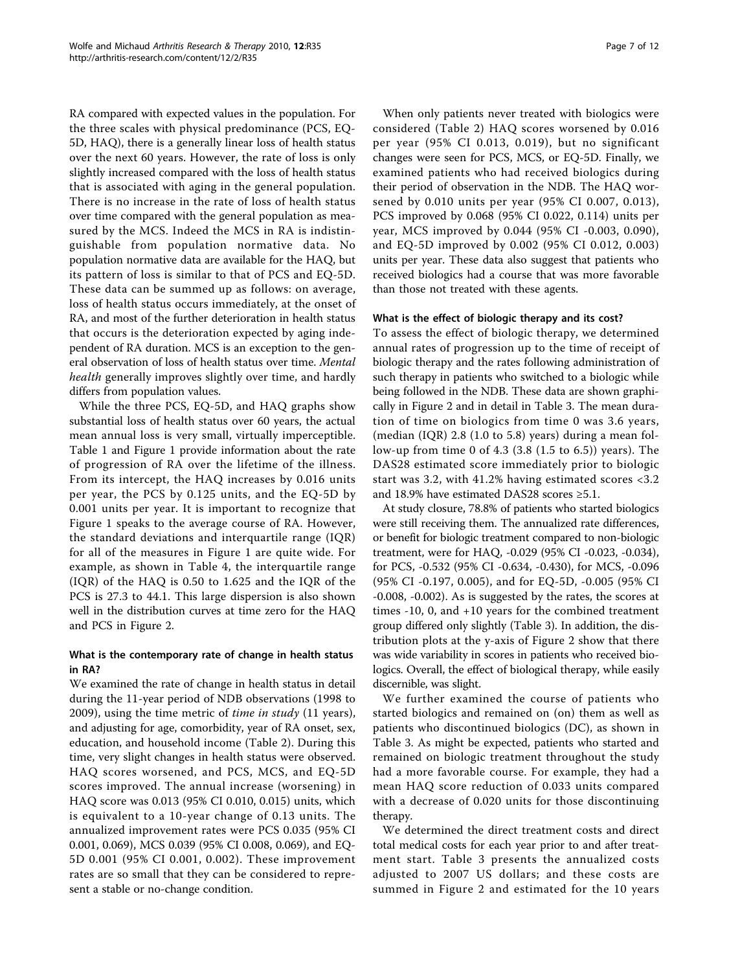RA compared with expected values in the population. For the three scales with physical predominance (PCS, EQ-5D, HAQ), there is a generally linear loss of health status over the next 60 years. However, the rate of loss is only slightly increased compared with the loss of health status that is associated with aging in the general population. There is no increase in the rate of loss of health status over time compared with the general population as measured by the MCS. Indeed the MCS in RA is indistinguishable from population normative data. No population normative data are available for the HAQ, but its pattern of loss is similar to that of PCS and EQ-5D. These data can be summed up as follows: on average, loss of health status occurs immediately, at the onset of RA, and most of the further deterioration in health status that occurs is the deterioration expected by aging independent of RA duration. MCS is an exception to the general observation of loss of health status over time. Mental health generally improves slightly over time, and hardly differs from population values.

While the three PCS, EQ-5D, and HAQ graphs show substantial loss of health status over 60 years, the actual mean annual loss is very small, virtually imperceptible. Table [1](#page-2-0) and Figure [1](#page-2-0) provide information about the rate of progression of RA over the lifetime of the illness. From its intercept, the HAQ increases by 0.016 units per year, the PCS by 0.125 units, and the EQ-5D by 0.001 units per year. It is important to recognize that Figure [1](#page-2-0) speaks to the average course of RA. However, the standard deviations and interquartile range (IQR) for all of the measures in Figure [1](#page-2-0) are quite wide. For example, as shown in Table [4,](#page-5-0) the interquartile range (IQR) of the HAQ is 0.50 to 1.625 and the IQR of the PCS is 27.3 to 44.1. This large dispersion is also shown well in the distribution curves at time zero for the HAQ and PCS in Figure [2](#page-4-0).

## What is the contemporary rate of change in health status in RA?

We examined the rate of change in health status in detail during the 11-year period of NDB observations (1998 to 2009), using the time metric of *time in study*  $(11 \text{ years})$ , and adjusting for age, comorbidity, year of RA onset, sex, education, and household income (Table [2\)](#page-3-0). During this time, very slight changes in health status were observed. HAQ scores worsened, and PCS, MCS, and EQ-5D scores improved. The annual increase (worsening) in HAQ score was 0.013 (95% CI 0.010, 0.015) units, which is equivalent to a 10-year change of 0.13 units. The annualized improvement rates were PCS 0.035 (95% CI 0.001, 0.069), MCS 0.039 (95% CI 0.008, 0.069), and EQ-5D 0.001 (95% CI 0.001, 0.002). These improvement rates are so small that they can be considered to represent a stable or no-change condition.

When only patients never treated with biologics were considered (Table [2](#page-3-0)) HAQ scores worsened by 0.016 per year (95% CI 0.013, 0.019), but no significant changes were seen for PCS, MCS, or EQ-5D. Finally, we examined patients who had received biologics during their period of observation in the NDB. The HAQ worsened by 0.010 units per year (95% CI 0.007, 0.013), PCS improved by 0.068 (95% CI 0.022, 0.114) units per year, MCS improved by 0.044 (95% CI -0.003, 0.090), and EQ-5D improved by 0.002 (95% CI 0.012, 0.003) units per year. These data also suggest that patients who received biologics had a course that was more favorable than those not treated with these agents.

#### What is the effect of biologic therapy and its cost?

To assess the effect of biologic therapy, we determined annual rates of progression up to the time of receipt of biologic therapy and the rates following administration of such therapy in patients who switched to a biologic while being followed in the NDB. These data are shown graphically in Figure [2](#page-4-0) and in detail in Table [3](#page-3-0). The mean duration of time on biologics from time 0 was 3.6 years, (median  $(IQR)$  2.8 (1.0 to 5.8) years) during a mean follow-up from time 0 of 4.3 (3.8 (1.5 to 6.5)) years). The DAS28 estimated score immediately prior to biologic start was 3.2, with 41.2% having estimated scores <3.2 and 18.9% have estimated DAS28 scores ≥5.1.

At study closure, 78.8% of patients who started biologics were still receiving them. The annualized rate differences, or benefit for biologic treatment compared to non-biologic treatment, were for HAQ, -0.029 (95% CI -0.023, -0.034), for PCS, -0.532 (95% CI -0.634, -0.430), for MCS, -0.096 (95% CI -0.197, 0.005), and for EQ-5D, -0.005 (95% CI -0.008, -0.002). As is suggested by the rates, the scores at times -10, 0, and +10 years for the combined treatment group differed only slightly (Table [3](#page-3-0)). In addition, the distribution plots at the y-axis of Figure [2](#page-4-0) show that there was wide variability in scores in patients who received biologics. Overall, the effect of biological therapy, while easily discernible, was slight.

We further examined the course of patients who started biologics and remained on (on) them as well as patients who discontinued biologics (DC), as shown in Table [3.](#page-3-0) As might be expected, patients who started and remained on biologic treatment throughout the study had a more favorable course. For example, they had a mean HAQ score reduction of 0.033 units compared with a decrease of 0.020 units for those discontinuing therapy.

We determined the direct treatment costs and direct total medical costs for each year prior to and after treatment start. Table [3](#page-3-0) presents the annualized costs adjusted to 2007 US dollars; and these costs are summed in Figure [2](#page-4-0) and estimated for the 10 years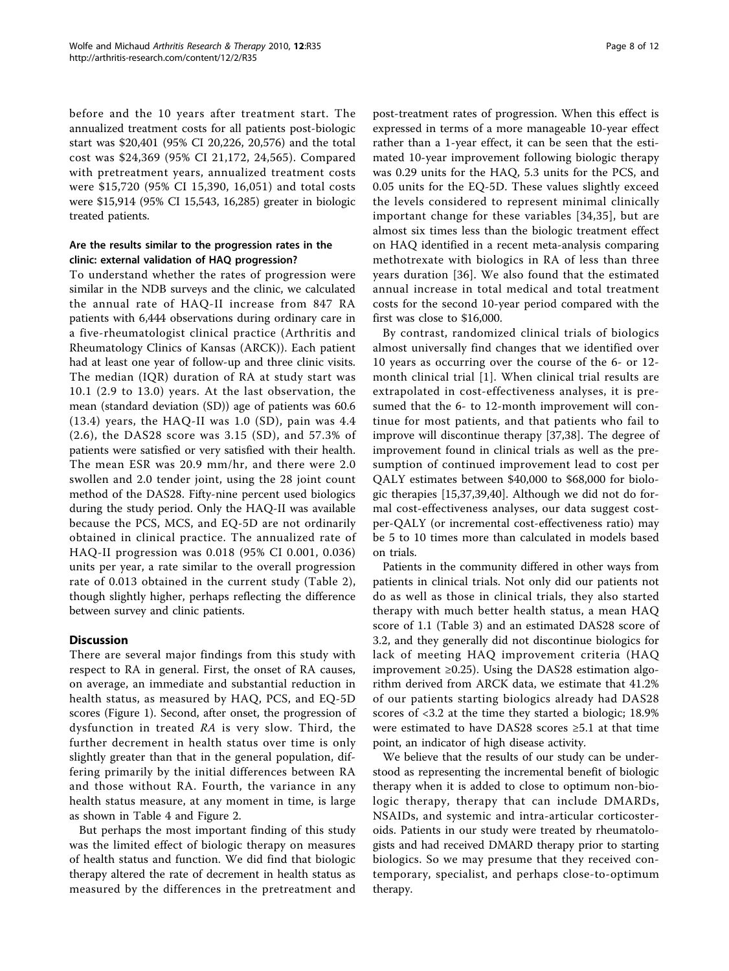before and the 10 years after treatment start. The annualized treatment costs for all patients post-biologic start was \$20,401 (95% CI 20,226, 20,576) and the total cost was \$24,369 (95% CI 21,172, 24,565). Compared with pretreatment years, annualized treatment costs were \$15,720 (95% CI 15,390, 16,051) and total costs were \$15,914 (95% CI 15,543, 16,285) greater in biologic treated patients.

## Are the results similar to the progression rates in the clinic: external validation of HAQ progression?

To understand whether the rates of progression were similar in the NDB surveys and the clinic, we calculated the annual rate of HAQ-II increase from 847 RA patients with 6,444 observations during ordinary care in a five-rheumatologist clinical practice (Arthritis and Rheumatology Clinics of Kansas (ARCK)). Each patient had at least one year of follow-up and three clinic visits. The median (IQR) duration of RA at study start was 10.1 (2.9 to 13.0) years. At the last observation, the mean (standard deviation (SD)) age of patients was 60.6  $(13.4)$  years, the HAQ-II was 1.0 (SD), pain was 4.4 (2.6), the DAS28 score was 3.15 (SD), and 57.3% of patients were satisfied or very satisfied with their health. The mean ESR was 20.9 mm/hr, and there were 2.0 swollen and 2.0 tender joint, using the 28 joint count method of the DAS28. Fifty-nine percent used biologics during the study period. Only the HAQ-II was available because the PCS, MCS, and EQ-5D are not ordinarily obtained in clinical practice. The annualized rate of HAQ-II progression was 0.018 (95% CI 0.001, 0.036) units per year, a rate similar to the overall progression rate of 0.013 obtained in the current study (Table [2](#page-3-0)), though slightly higher, perhaps reflecting the difference between survey and clinic patients.

## **Discussion**

There are several major findings from this study with respect to RA in general. First, the onset of RA causes, on average, an immediate and substantial reduction in health status, as measured by HAQ, PCS, and EQ-5D scores (Figure [1](#page-2-0)). Second, after onset, the progression of dysfunction in treated RA is very slow. Third, the further decrement in health status over time is only slightly greater than that in the general population, differing primarily by the initial differences between RA and those without RA. Fourth, the variance in any health status measure, at any moment in time, is large as shown in Table [4](#page-5-0) and Figure [2](#page-4-0).

But perhaps the most important finding of this study was the limited effect of biologic therapy on measures of health status and function. We did find that biologic therapy altered the rate of decrement in health status as measured by the differences in the pretreatment and

post-treatment rates of progression. When this effect is expressed in terms of a more manageable 10-year effect rather than a 1-year effect, it can be seen that the estimated 10-year improvement following biologic therapy was 0.29 units for the HAQ, 5.3 units for the PCS, and 0.05 units for the EQ-5D. These values slightly exceed the levels considered to represent minimal clinically important change for these variables [[34,35\]](#page-11-0), but are almost six times less than the biologic treatment effect on HAQ identified in a recent meta-analysis comparing methotrexate with biologics in RA of less than three years duration [[36\]](#page-11-0). We also found that the estimated annual increase in total medical and total treatment costs for the second 10-year period compared with the first was close to \$16,000.

By contrast, randomized clinical trials of biologics almost universally find changes that we identified over 10 years as occurring over the course of the 6- or 12 month clinical trial [[1](#page-10-0)]. When clinical trial results are extrapolated in cost-effectiveness analyses, it is presumed that the 6- to 12-month improvement will continue for most patients, and that patients who fail to improve will discontinue therapy [\[37,38](#page-11-0)]. The degree of improvement found in clinical trials as well as the presumption of continued improvement lead to cost per QALY estimates between \$40,000 to \$68,000 for biologic therapies [[15,37,39,40](#page-11-0)]. Although we did not do formal cost-effectiveness analyses, our data suggest costper-QALY (or incremental cost-effectiveness ratio) may be 5 to 10 times more than calculated in models based on trials.

Patients in the community differed in other ways from patients in clinical trials. Not only did our patients not do as well as those in clinical trials, they also started therapy with much better health status, a mean HAQ score of 1.1 (Table [3\)](#page-3-0) and an estimated DAS28 score of 3.2, and they generally did not discontinue biologics for lack of meeting HAQ improvement criteria (HAQ improvement  $\geq 0.25$ ). Using the DAS28 estimation algorithm derived from ARCK data, we estimate that 41.2% of our patients starting biologics already had DAS28 scores of <3.2 at the time they started a biologic; 18.9% were estimated to have DAS28 scores ≥5.1 at that time point, an indicator of high disease activity.

We believe that the results of our study can be understood as representing the incremental benefit of biologic therapy when it is added to close to optimum non-biologic therapy, therapy that can include DMARDs, NSAIDs, and systemic and intra-articular corticosteroids. Patients in our study were treated by rheumatologists and had received DMARD therapy prior to starting biologics. So we may presume that they received contemporary, specialist, and perhaps close-to-optimum therapy.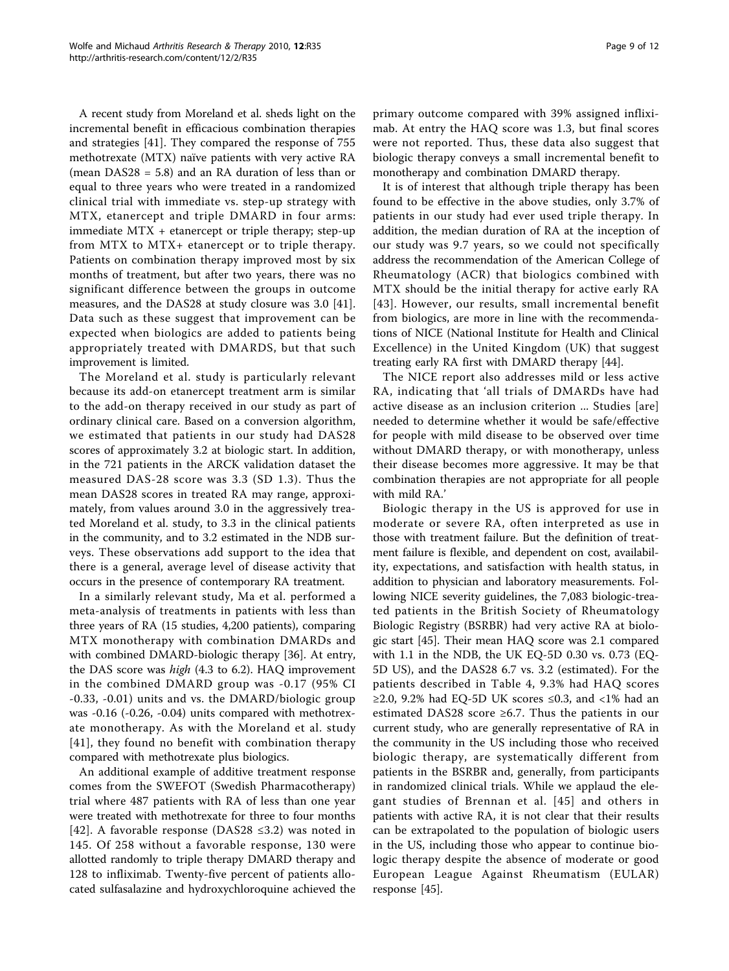A recent study from Moreland et al. sheds light on the incremental benefit in efficacious combination therapies and strategies [[41\]](#page-11-0). They compared the response of 755 methotrexate (MTX) naïve patients with very active RA (mean DAS28 = 5.8) and an RA duration of less than or equal to three years who were treated in a randomized clinical trial with immediate vs. step-up strategy with MTX, etanercept and triple DMARD in four arms: immediate MTX + etanercept or triple therapy; step-up from MTX to MTX+ etanercept or to triple therapy. Patients on combination therapy improved most by six months of treatment, but after two years, there was no significant difference between the groups in outcome measures, and the DAS28 at study closure was 3.0 [\[41](#page-11-0)]. Data such as these suggest that improvement can be expected when biologics are added to patients being appropriately treated with DMARDS, but that such improvement is limited.

The Moreland et al. study is particularly relevant because its add-on etanercept treatment arm is similar to the add-on therapy received in our study as part of ordinary clinical care. Based on a conversion algorithm, we estimated that patients in our study had DAS28 scores of approximately 3.2 at biologic start. In addition, in the 721 patients in the ARCK validation dataset the measured DAS-28 score was 3.3 (SD 1.3). Thus the mean DAS28 scores in treated RA may range, approximately, from values around 3.0 in the aggressively treated Moreland et al. study, to 3.3 in the clinical patients in the community, and to 3.2 estimated in the NDB surveys. These observations add support to the idea that there is a general, average level of disease activity that occurs in the presence of contemporary RA treatment.

In a similarly relevant study, Ma et al. performed a meta-analysis of treatments in patients with less than three years of RA (15 studies, 4,200 patients), comparing MTX monotherapy with combination DMARDs and with combined DMARD-biologic therapy [\[36\]](#page-11-0). At entry, the DAS score was high (4.3 to 6.2). HAQ improvement in the combined DMARD group was -0.17 (95% CI -0.33, -0.01) units and vs. the DMARD/biologic group was -0.16 (-0.26, -0.04) units compared with methotrexate monotherapy. As with the Moreland et al. study [[41](#page-11-0)], they found no benefit with combination therapy compared with methotrexate plus biologics.

An additional example of additive treatment response comes from the SWEFOT (Swedish Pharmacotherapy) trial where 487 patients with RA of less than one year were treated with methotrexate for three to four months [[42](#page-11-0)]. A favorable response (DAS28  $\leq$ 3.2) was noted in 145. Of 258 without a favorable response, 130 were allotted randomly to triple therapy DMARD therapy and 128 to infliximab. Twenty-five percent of patients allocated sulfasalazine and hydroxychloroquine achieved the primary outcome compared with 39% assigned infliximab. At entry the HAQ score was 1.3, but final scores were not reported. Thus, these data also suggest that biologic therapy conveys a small incremental benefit to monotherapy and combination DMARD therapy.

It is of interest that although triple therapy has been found to be effective in the above studies, only 3.7% of patients in our study had ever used triple therapy. In addition, the median duration of RA at the inception of our study was 9.7 years, so we could not specifically address the recommendation of the American College of Rheumatology (ACR) that biologics combined with MTX should be the initial therapy for active early RA [[43\]](#page-11-0). However, our results, small incremental benefit from biologics, are more in line with the recommendations of NICE (National Institute for Health and Clinical Excellence) in the United Kingdom (UK) that suggest treating early RA first with DMARD therapy [[44](#page-11-0)].

The NICE report also addresses mild or less active RA, indicating that 'all trials of DMARDs have had active disease as an inclusion criterion ... Studies [are] needed to determine whether it would be safe/effective for people with mild disease to be observed over time without DMARD therapy, or with monotherapy, unless their disease becomes more aggressive. It may be that combination therapies are not appropriate for all people with mild RA.'

Biologic therapy in the US is approved for use in moderate or severe RA, often interpreted as use in those with treatment failure. But the definition of treatment failure is flexible, and dependent on cost, availability, expectations, and satisfaction with health status, in addition to physician and laboratory measurements. Following NICE severity guidelines, the 7,083 biologic-treated patients in the British Society of Rheumatology Biologic Registry (BSRBR) had very active RA at biologic start [\[45](#page-11-0)]. Their mean HAQ score was 2.1 compared with 1.1 in the NDB, the UK EQ-5D 0.30 vs. 0.73 (EQ-5D US), and the DAS28 6.7 vs. 3.2 (estimated). For the patients described in Table [4](#page-5-0), 9.3% had HAQ scores ≥2.0, 9.2% had EQ-5D UK scores ≤0.3, and <1% had an estimated DAS28 score ≥6.7. Thus the patients in our current study, who are generally representative of RA in the community in the US including those who received biologic therapy, are systematically different from patients in the BSRBR and, generally, from participants in randomized clinical trials. While we applaud the elegant studies of Brennan et al. [[45\]](#page-11-0) and others in patients with active RA, it is not clear that their results can be extrapolated to the population of biologic users in the US, including those who appear to continue biologic therapy despite the absence of moderate or good European League Against Rheumatism (EULAR) response [[45\]](#page-11-0).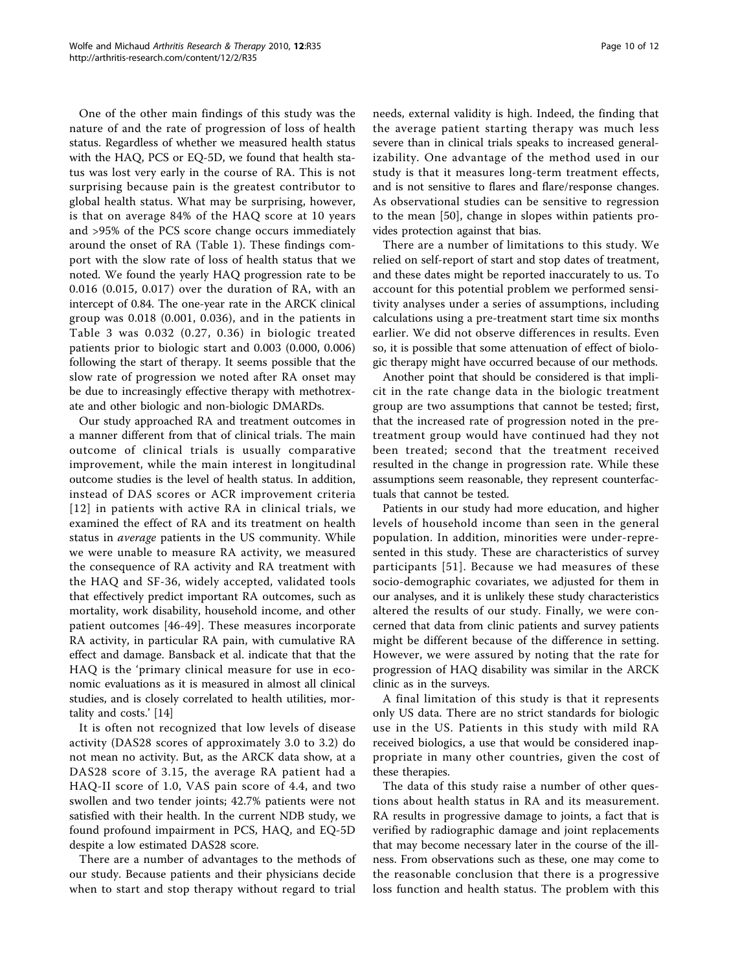One of the other main findings of this study was the nature of and the rate of progression of loss of health status. Regardless of whether we measured health status with the HAQ, PCS or EQ-5D, we found that health status was lost very early in the course of RA. This is not surprising because pain is the greatest contributor to global health status. What may be surprising, however, is that on average 84% of the HAQ score at 10 years and >95% of the PCS score change occurs immediately around the onset of RA (Table [1](#page-2-0)). These findings comport with the slow rate of loss of health status that we noted. We found the yearly HAQ progression rate to be 0.016 (0.015, 0.017) over the duration of RA, with an intercept of 0.84. The one-year rate in the ARCK clinical group was 0.018 (0.001, 0.036), and in the patients in Table [3](#page-3-0) was 0.032 (0.27, 0.36) in biologic treated patients prior to biologic start and 0.003 (0.000, 0.006) following the start of therapy. It seems possible that the slow rate of progression we noted after RA onset may be due to increasingly effective therapy with methotrexate and other biologic and non-biologic DMARDs.

Our study approached RA and treatment outcomes in a manner different from that of clinical trials. The main outcome of clinical trials is usually comparative improvement, while the main interest in longitudinal outcome studies is the level of health status. In addition, instead of DAS scores or ACR improvement criteria [[12\]](#page-10-0) in patients with active RA in clinical trials, we examined the effect of RA and its treatment on health status in average patients in the US community. While we were unable to measure RA activity, we measured the consequence of RA activity and RA treatment with the HAQ and SF-36, widely accepted, validated tools that effectively predict important RA outcomes, such as mortality, work disability, household income, and other patient outcomes [\[46](#page-11-0)-[49](#page-11-0)]. These measures incorporate RA activity, in particular RA pain, with cumulative RA effect and damage. Bansback et al. indicate that that the HAQ is the 'primary clinical measure for use in economic evaluations as it is measured in almost all clinical studies, and is closely correlated to health utilities, mortality and costs.' [[14\]](#page-11-0)

It is often not recognized that low levels of disease activity (DAS28 scores of approximately 3.0 to 3.2) do not mean no activity. But, as the ARCK data show, at a DAS28 score of 3.15, the average RA patient had a HAQ-II score of 1.0, VAS pain score of 4.4, and two swollen and two tender joints; 42.7% patients were not satisfied with their health. In the current NDB study, we found profound impairment in PCS, HAQ, and EQ-5D despite a low estimated DAS28 score.

There are a number of advantages to the methods of our study. Because patients and their physicians decide when to start and stop therapy without regard to trial needs, external validity is high. Indeed, the finding that the average patient starting therapy was much less severe than in clinical trials speaks to increased generalizability. One advantage of the method used in our study is that it measures long-term treatment effects, and is not sensitive to flares and flare/response changes. As observational studies can be sensitive to regression to the mean [[50\]](#page-11-0), change in slopes within patients provides protection against that bias.

There are a number of limitations to this study. We relied on self-report of start and stop dates of treatment, and these dates might be reported inaccurately to us. To account for this potential problem we performed sensitivity analyses under a series of assumptions, including calculations using a pre-treatment start time six months earlier. We did not observe differences in results. Even so, it is possible that some attenuation of effect of biologic therapy might have occurred because of our methods.

Another point that should be considered is that implicit in the rate change data in the biologic treatment group are two assumptions that cannot be tested; first, that the increased rate of progression noted in the pretreatment group would have continued had they not been treated; second that the treatment received resulted in the change in progression rate. While these assumptions seem reasonable, they represent counterfactuals that cannot be tested.

Patients in our study had more education, and higher levels of household income than seen in the general population. In addition, minorities were under-represented in this study. These are characteristics of survey participants [\[51](#page-11-0)]. Because we had measures of these socio-demographic covariates, we adjusted for them in our analyses, and it is unlikely these study characteristics altered the results of our study. Finally, we were concerned that data from clinic patients and survey patients might be different because of the difference in setting. However, we were assured by noting that the rate for progression of HAQ disability was similar in the ARCK clinic as in the surveys.

A final limitation of this study is that it represents only US data. There are no strict standards for biologic use in the US. Patients in this study with mild RA received biologics, a use that would be considered inappropriate in many other countries, given the cost of these therapies.

The data of this study raise a number of other questions about health status in RA and its measurement. RA results in progressive damage to joints, a fact that is verified by radiographic damage and joint replacements that may become necessary later in the course of the illness. From observations such as these, one may come to the reasonable conclusion that there is a progressive loss function and health status. The problem with this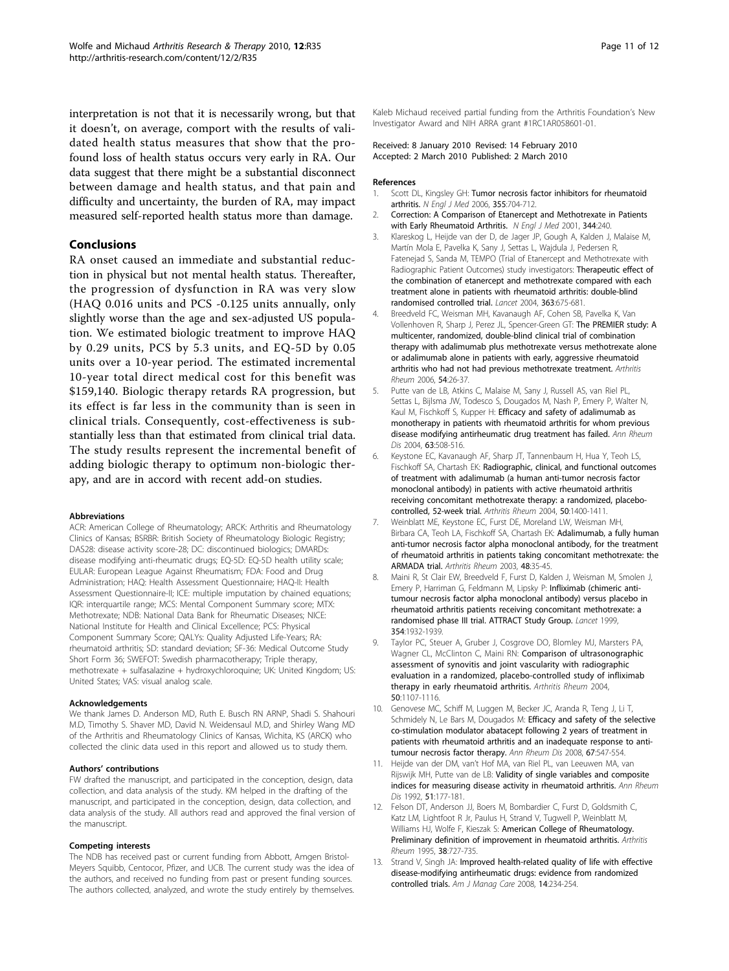<span id="page-10-0"></span>interpretation is not that it is necessarily wrong, but that it doesn't, on average, comport with the results of validated health status measures that show that the profound loss of health status occurs very early in RA. Our data suggest that there might be a substantial disconnect between damage and health status, and that pain and difficulty and uncertainty, the burden of RA, may impact measured self-reported health status more than damage.

#### Conclusions

RA onset caused an immediate and substantial reduction in physical but not mental health status. Thereafter, the progression of dysfunction in RA was very slow (HAQ 0.016 units and PCS -0.125 units annually, only slightly worse than the age and sex-adjusted US population. We estimated biologic treatment to improve HAQ by 0.29 units, PCS by 5.3 units, and EQ-5D by 0.05 units over a 10-year period. The estimated incremental 10-year total direct medical cost for this benefit was \$159,140. Biologic therapy retards RA progression, but its effect is far less in the community than is seen in clinical trials. Consequently, cost-effectiveness is substantially less than that estimated from clinical trial data. The study results represent the incremental benefit of adding biologic therapy to optimum non-biologic therapy, and are in accord with recent add-on studies.

#### Abbreviations

ACR: American College of Rheumatology; ARCK: Arthritis and Rheumatology Clinics of Kansas; BSRBR: British Society of Rheumatology Biologic Registry; DAS28: disease activity score-28; DC: discontinued biologics; DMARDs: disease modifying anti-rheumatic drugs; EQ-5D: EQ-5D health utility scale; EULAR: European League Against Rheumatism; FDA: Food and Drug Administration; HAQ: Health Assessment Questionnaire; HAQ-II: Health Assessment Questionnaire-II; ICE: multiple imputation by chained equations; IQR: interquartile range; MCS: Mental Component Summary score; MTX: Methotrexate; NDB: National Data Bank for Rheumatic Diseases; NICE: National Institute for Health and Clinical Excellence; PCS: Physical Component Summary Score; QALYs: Quality Adjusted Life-Years; RA: rheumatoid arthritis; SD: standard deviation; SF-36: Medical Outcome Study Short Form 36; SWEFOT: Swedish pharmacotherapy; Triple therapy, methotrexate + sulfasalazine + hydroxychloroquine; UK: United Kingdom; US: United States; VAS: visual analog scale.

#### Acknowledgements

We thank James D. Anderson MD, Ruth E. Busch RN ARNP, Shadi S. Shahouri M.D, Timothy S. Shaver MD, David N. Weidensaul M.D, and Shirley Wang MD of the Arthritis and Rheumatology Clinics of Kansas, Wichita, KS (ARCK) who collected the clinic data used in this report and allowed us to study them.

#### Authors' contributions

FW drafted the manuscript, and participated in the conception, design, data collection, and data analysis of the study. KM helped in the drafting of the manuscript, and participated in the conception, design, data collection, and data analysis of the study. All authors read and approved the final version of the manuscript.

#### Competing interests

The NDB has received past or current funding from Abbott, Amgen Bristol-Meyers Squibb, Centocor, Pfizer, and UCB. The current study was the idea of the authors, and received no funding from past or present funding sources. The authors collected, analyzed, and wrote the study entirely by themselves. Kaleb Michaud received partial funding from the Arthritis Foundation's New Investigator Award and NIH ARRA grant #1RC1AR058601-01.

Received: 8 January 2010 Revised: 14 February 2010 Accepted: 2 March 2010 Published: 2 March 2010

#### References

- 1. Scott DL, Kingsley GH: [Tumor necrosis factor inhibitors for rheumatoid](http://www.ncbi.nlm.nih.gov/pubmed/16914706?dopt=Abstract) [arthritis.](http://www.ncbi.nlm.nih.gov/pubmed/16914706?dopt=Abstract) N Engl J Med 2006, 355:704-712.
- 2. Correction: A Comparison of Etanercept and Methotrexate in Patients with Early Rheumatoid Arthritis. N Engl J Med 2001, 344:240.
- 3. Klareskog L, Heijde van der D, de Jager JP, Gough A, Kalden J, Malaise M, Martín Mola E, Pavelka K, Sany J, Settas L, Wajdula J, Pedersen R, Fatenejad S, Sanda M, TEMPO (Trial of Etanercept and Methotrexate with Radiographic Patient Outcomes) study investigators: [Therapeutic effect of](http://www.ncbi.nlm.nih.gov/pubmed/15001324?dopt=Abstract) [the combination of etanercept and methotrexate compared with each](http://www.ncbi.nlm.nih.gov/pubmed/15001324?dopt=Abstract) [treatment alone in patients with rheumatoid arthritis: double-blind](http://www.ncbi.nlm.nih.gov/pubmed/15001324?dopt=Abstract) [randomised controlled trial.](http://www.ncbi.nlm.nih.gov/pubmed/15001324?dopt=Abstract) Lancet 2004, 363:675-681.
- 4. Breedveld FC, Weisman MH, Kavanaugh AF, Cohen SB, Pavelka K, Van Vollenhoven R, Sharp J, Perez JL, Spencer-Green GT: [The PREMIER study: A](http://www.ncbi.nlm.nih.gov/pubmed/16385520?dopt=Abstract) [multicenter, randomized, double-blind clinical trial of combination](http://www.ncbi.nlm.nih.gov/pubmed/16385520?dopt=Abstract) [therapy with adalimumab plus methotrexate versus methotrexate alone](http://www.ncbi.nlm.nih.gov/pubmed/16385520?dopt=Abstract) [or adalimumab alone in patients with early, aggressive rheumatoid](http://www.ncbi.nlm.nih.gov/pubmed/16385520?dopt=Abstract) [arthritis who had not had previous methotrexate treatment.](http://www.ncbi.nlm.nih.gov/pubmed/16385520?dopt=Abstract) Arthritis Rheum 2006, 54:26-37.
- 5. Putte van de LB, Atkins C, Malaise M, Sany J, Russell AS, van Riel PL, Settas L, Bijlsma JW, Todesco S, Dougados M, Nash P, Emery P, Walter N, Kaul M, Fischkoff S, Kupper H: [Efficacy and safety of adalimumab as](http://www.ncbi.nlm.nih.gov/pubmed/15082480?dopt=Abstract) [monotherapy in patients with rheumatoid arthritis for whom previous](http://www.ncbi.nlm.nih.gov/pubmed/15082480?dopt=Abstract) [disease modifying antirheumatic drug treatment has failed.](http://www.ncbi.nlm.nih.gov/pubmed/15082480?dopt=Abstract) Ann Rheum Dis 2004, 63:508-516.
- 6. Keystone EC, Kavanaugh AF, Sharp JT, Tannenbaum H, Hua Y, Teoh LS, Fischkoff SA, Chartash EK: [Radiographic, clinical, and functional outcomes](http://www.ncbi.nlm.nih.gov/pubmed/15146409?dopt=Abstract) [of treatment with adalimumab \(a human anti-tumor necrosis factor](http://www.ncbi.nlm.nih.gov/pubmed/15146409?dopt=Abstract) [monoclonal antibody\) in patients with active rheumatoid arthritis](http://www.ncbi.nlm.nih.gov/pubmed/15146409?dopt=Abstract) [receiving concomitant methotrexate therapy: a randomized, placebo](http://www.ncbi.nlm.nih.gov/pubmed/15146409?dopt=Abstract)[controlled, 52-week trial.](http://www.ncbi.nlm.nih.gov/pubmed/15146409?dopt=Abstract) Arthritis Rheum 2004, 50:1400-1411.
- 7. Weinblatt ME, Keystone EC, Furst DE, Moreland LW, Weisman MH, Birbara CA, Teoh LA, Fischkoff SA, Chartash EK: [Adalimumab, a fully human](http://www.ncbi.nlm.nih.gov/pubmed/12528101?dopt=Abstract) [anti-tumor necrosis factor alpha monoclonal antibody, for the treatment](http://www.ncbi.nlm.nih.gov/pubmed/12528101?dopt=Abstract) [of rheumatoid arthritis in patients taking concomitant methotrexate: the](http://www.ncbi.nlm.nih.gov/pubmed/12528101?dopt=Abstract) [ARMADA trial.](http://www.ncbi.nlm.nih.gov/pubmed/12528101?dopt=Abstract) Arthritis Rheum 2003, 48:35-45.
- 8. Maini R, St Clair EW, Breedveld F, Furst D, Kalden J, Weisman M, Smolen J, Emery P, Harriman G, Feldmann M, Lipsky P: [Infliximab \(chimeric anti](http://www.ncbi.nlm.nih.gov/pubmed/10622295?dopt=Abstract)[tumour necrosis factor alpha monoclonal antibody\) versus placebo in](http://www.ncbi.nlm.nih.gov/pubmed/10622295?dopt=Abstract) [rheumatoid arthritis patients receiving concomitant methotrexate: a](http://www.ncbi.nlm.nih.gov/pubmed/10622295?dopt=Abstract) [randomised phase III trial. ATTRACT Study Group.](http://www.ncbi.nlm.nih.gov/pubmed/10622295?dopt=Abstract) Lancet 1999, 354:1932-1939.
- 9. Taylor PC, Steuer A, Gruber J, Cosgrove DO, Blomley MJ, Marsters PA, Wagner CL, McClinton C, Maini RN: [Comparison of ultrasonographic](http://www.ncbi.nlm.nih.gov/pubmed/15077292?dopt=Abstract) [assessment of synovitis and joint vascularity with radiographic](http://www.ncbi.nlm.nih.gov/pubmed/15077292?dopt=Abstract) [evaluation in a randomized, placebo-controlled study of infliximab](http://www.ncbi.nlm.nih.gov/pubmed/15077292?dopt=Abstract) [therapy in early rheumatoid arthritis.](http://www.ncbi.nlm.nih.gov/pubmed/15077292?dopt=Abstract) Arthritis Rheum 2004, 50:1107-1116.
- 10. Genovese MC, Schiff M, Luggen M, Becker JC, Aranda R, Teng J, Li T, Schmidely N, Le Bars M, Dougados M: [Efficacy and safety of the selective](http://www.ncbi.nlm.nih.gov/pubmed/17921185?dopt=Abstract) [co-stimulation modulator abatacept following 2 years of treatment in](http://www.ncbi.nlm.nih.gov/pubmed/17921185?dopt=Abstract) [patients with rheumatoid arthritis and an inadequate response to anti](http://www.ncbi.nlm.nih.gov/pubmed/17921185?dopt=Abstract)[tumour necrosis factor therapy.](http://www.ncbi.nlm.nih.gov/pubmed/17921185?dopt=Abstract) Ann Rheum Dis 2008, 67:547-554.
- 11. Heijde van der DM, van't Hof MA, van Riel PL, van Leeuwen MA, van Rijswijk MH, Putte van de LB: [Validity of single variables and composite](http://www.ncbi.nlm.nih.gov/pubmed/1550400?dopt=Abstract) [indices for measuring disease activity in rheumatoid arthritis.](http://www.ncbi.nlm.nih.gov/pubmed/1550400?dopt=Abstract) Ann Rheum Dis 1992, 51:177-181.
- 12. Felson DT, Anderson JJ, Boers M, Bombardier C, Furst D, Goldsmith C, Katz LM, Lightfoot R Jr, Paulus H, Strand V, Tugwell P, Weinblatt M, Williams HJ, Wolfe F, Kieszak S: [American College of Rheumatology.](http://www.ncbi.nlm.nih.gov/pubmed/7779114?dopt=Abstract) [Preliminary definition of improvement in rheumatoid arthritis.](http://www.ncbi.nlm.nih.gov/pubmed/7779114?dopt=Abstract) Arthritis Rheum 1995, 38:727-735.
- 13. Strand V, Singh JA: [Improved health-related quality of life with effective](http://www.ncbi.nlm.nih.gov/pubmed/18415967?dopt=Abstract) [disease-modifying antirheumatic drugs: evidence from randomized](http://www.ncbi.nlm.nih.gov/pubmed/18415967?dopt=Abstract) [controlled trials.](http://www.ncbi.nlm.nih.gov/pubmed/18415967?dopt=Abstract) Am J Manag Care 2008, 14:234-254.